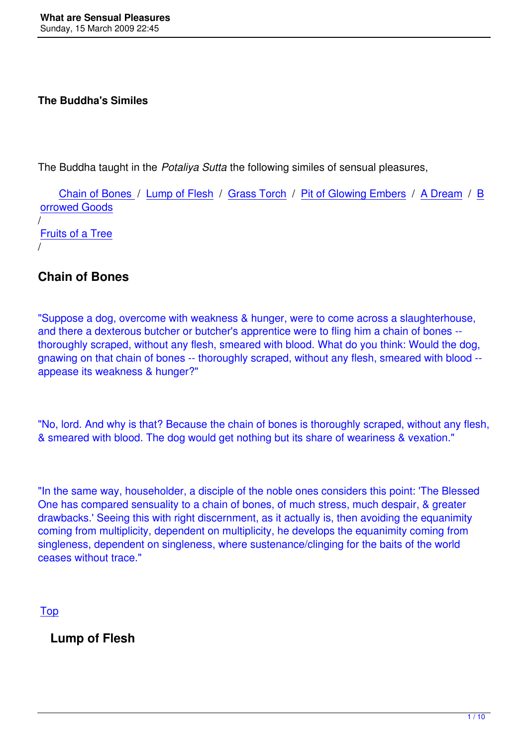#### **The Buddha's Similes**

The Buddha taught in the *Potaliya Sutta* the following similes of sensual pleasures,

Chain of Bones / Lump of Flesh / Grass Torch / Pit of Glowing Embers / A Dream / B orrowed Goods / Fru[its of a Tree](#bones) [/](#goods) 

### **[Chain of Bon](#tree)es**

"Suppose a dog, overcome with weakness & hunger, were to come across a slaughterhouse, and there a dexterous butcher or butcher's apprentice were to fling him a chain of bones - thoroughly scraped, without any flesh, smeared with blood. What do you think: Would the dog, gnawing on that chain of bones -- thoroughly scraped, without any flesh, smeared with blood - appease its weakness & hunger?"

"No, lord. And why is that? Because the chain of bones is thoroughly scraped, without any flesh, & smeared with blood. The dog would get nothing but its share of weariness & vexation."

"In the same way, householder, a disciple of the noble ones considers this point: 'The Blessed One has compared sensuality to a chain of bones, of much stress, much despair, & greater drawbacks.' Seeing this with right discernment, as it actually is, then avoiding the equanimity coming from multiplicity, dependent on multiplicity, he develops the equanimity coming from singleness, dependent on singleness, where sustenance/clinging for the baits of the world ceases without trace."

Top

**Lump of Flesh**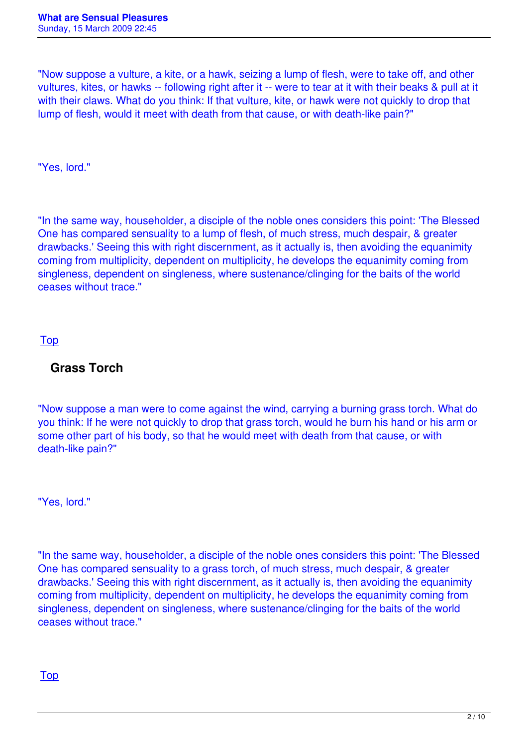"Now suppose a vulture, a kite, or a hawk, seizing a lump of flesh, were to take off, and other vultures, kites, or hawks -- following right after it -- were to tear at it with their beaks & pull at it with their claws. What do you think: If that vulture, kite, or hawk were not quickly to drop that lump of flesh, would it meet with death from that cause, or with death-like pain?"

"Yes, lord."

"In the same way, householder, a disciple of the noble ones considers this point: 'The Blessed One has compared sensuality to a lump of flesh, of much stress, much despair, & greater drawbacks.' Seeing this with right discernment, as it actually is, then avoiding the equanimity coming from multiplicity, dependent on multiplicity, he develops the equanimity coming from singleness, dependent on singleness, where sustenance/clinging for the baits of the world ceases without trace."

Top

# **Grass Torch**

"Now suppose a man were to come against the wind, carrying a burning grass torch. What do you think: If he were not quickly to drop that grass torch, would he burn his hand or his arm or some other part of his body, so that he would meet with death from that cause, or with death-like pain?"

"Yes, lord."

"In the same way, householder, a disciple of the noble ones considers this point: 'The Blessed One has compared sensuality to a grass torch, of much stress, much despair, & greater drawbacks.' Seeing this with right discernment, as it actually is, then avoiding the equanimity coming from multiplicity, dependent on multiplicity, he develops the equanimity coming from singleness, dependent on singleness, where sustenance/clinging for the baits of the world ceases without trace."

Top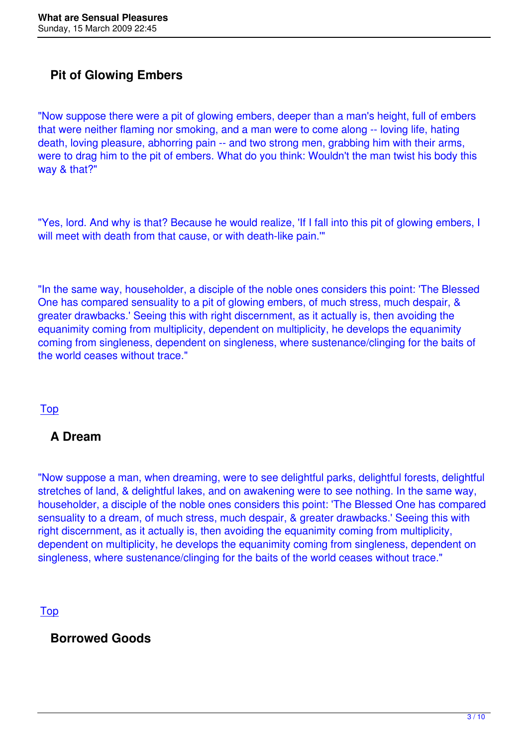## **Pit of Glowing Embers**

"Now suppose there were a pit of glowing embers, deeper than a man's height, full of embers that were neither flaming nor smoking, and a man were to come along -- loving life, hating death, loving pleasure, abhorring pain -- and two strong men, grabbing him with their arms, were to drag him to the pit of embers. What do you think: Wouldn't the man twist his body this way & that?"

"Yes, lord. And why is that? Because he would realize, 'If I fall into this pit of glowing embers, I will meet with death from that cause, or with death-like pain.""

"In the same way, householder, a disciple of the noble ones considers this point: 'The Blessed One has compared sensuality to a pit of glowing embers, of much stress, much despair, & greater drawbacks.' Seeing this with right discernment, as it actually is, then avoiding the equanimity coming from multiplicity, dependent on multiplicity, he develops the equanimity coming from singleness, dependent on singleness, where sustenance/clinging for the baits of the world ceases without trace."

#### Top

## **A Dream**

"Now suppose a man, when dreaming, were to see delightful parks, delightful forests, delightful stretches of land, & delightful lakes, and on awakening were to see nothing. In the same way, householder, a disciple of the noble ones considers this point: 'The Blessed One has compared sensuality to a dream, of much stress, much despair, & greater drawbacks.' Seeing this with right discernment, as it actually is, then avoiding the equanimity coming from multiplicity, dependent on multiplicity, he develops the equanimity coming from singleness, dependent on singleness, where sustenance/clinging for the baits of the world ceases without trace."

#### Top

**Borrowed Goods**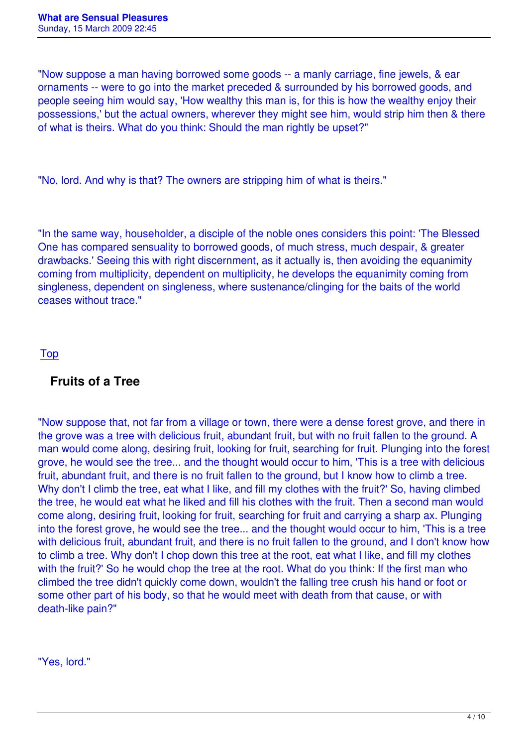"Now suppose a man having borrowed some goods -- a manly carriage, fine jewels, & ear ornaments -- were to go into the market preceded & surrounded by his borrowed goods, and people seeing him would say, 'How wealthy this man is, for this is how the wealthy enjoy their possessions,' but the actual owners, wherever they might see him, would strip him then & there of what is theirs. What do you think: Should the man rightly be upset?"

"No, lord. And why is that? The owners are stripping him of what is theirs."

"In the same way, householder, a disciple of the noble ones considers this point: 'The Blessed One has compared sensuality to borrowed goods, of much stress, much despair, & greater drawbacks.' Seeing this with right discernment, as it actually is, then avoiding the equanimity coming from multiplicity, dependent on multiplicity, he develops the equanimity coming from singleness, dependent on singleness, where sustenance/clinging for the baits of the world ceases without trace."

Top

## **Fruits of a Tree**

"Now suppose that, not far from a village or town, there were a dense forest grove, and there in the grove was a tree with delicious fruit, abundant fruit, but with no fruit fallen to the ground. A man would come along, desiring fruit, looking for fruit, searching for fruit. Plunging into the forest grove, he would see the tree... and the thought would occur to him, 'This is a tree with delicious fruit, abundant fruit, and there is no fruit fallen to the ground, but I know how to climb a tree. Why don't I climb the tree, eat what I like, and fill my clothes with the fruit?' So, having climbed the tree, he would eat what he liked and fill his clothes with the fruit. Then a second man would come along, desiring fruit, looking for fruit, searching for fruit and carrying a sharp ax. Plunging into the forest grove, he would see the tree... and the thought would occur to him, 'This is a tree with delicious fruit, abundant fruit, and there is no fruit fallen to the ground, and I don't know how to climb a tree. Why don't I chop down this tree at the root, eat what I like, and fill my clothes with the fruit?' So he would chop the tree at the root. What do you think: If the first man who climbed the tree didn't quickly come down, wouldn't the falling tree crush his hand or foot or some other part of his body, so that he would meet with death from that cause, or with death-like pain?"

"Yes, lord."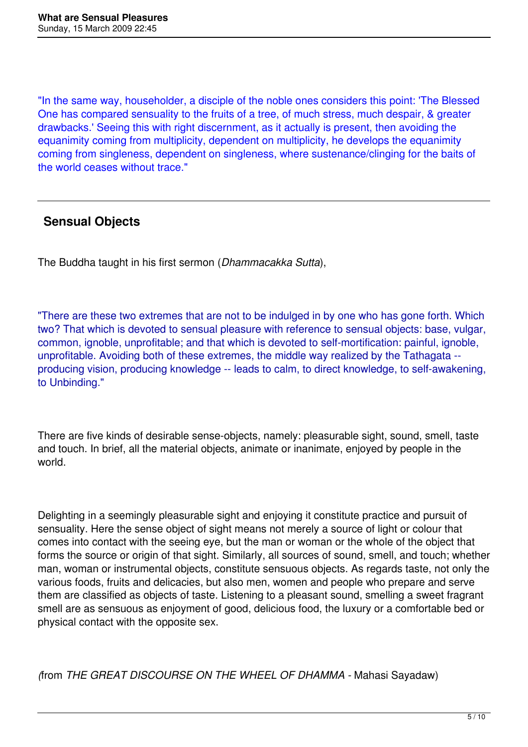"In the same way, householder, a disciple of the noble ones considers this point: 'The Blessed One has compared sensuality to the fruits of a tree, of much stress, much despair, & greater drawbacks.' Seeing this with right discernment, as it actually is present, then avoiding the equanimity coming from multiplicity, dependent on multiplicity, he develops the equanimity coming from singleness, dependent on singleness, where sustenance/clinging for the baits of the world ceases without trace."

# **Sensual Objects**

The Buddha taught in his first sermon (*Dhammacakka Sutta*),

"There are these two extremes that are not to be indulged in by one who has gone forth. Which two? That which is devoted to sensual pleasure with reference to sensual objects: base, vulgar, common, ignoble, unprofitable; and that which is devoted to self-mortification: painful, ignoble, unprofitable. Avoiding both of these extremes, the middle way realized by the Tathagata - producing vision, producing knowledge -- leads to calm, to direct knowledge, to self-awakening, to Unbinding."

There are five kinds of desirable sense-objects, namely: pleasurable sight, sound, smell, taste and touch. In brief, all the material objects, animate or inanimate, enjoyed by people in the world.

Delighting in a seemingly pleasurable sight and enjoying it constitute practice and pursuit of sensuality. Here the sense object of sight means not merely a source of light or colour that comes into contact with the seeing eye, but the man or woman or the whole of the object that forms the source or origin of that sight. Similarly, all sources of sound, smell, and touch; whether man, woman or instrumental objects, constitute sensuous objects. As regards taste, not only the various foods, fruits and delicacies, but also men, women and people who prepare and serve them are classified as objects of taste. Listening to a pleasant sound, smelling a sweet fragrant smell are as sensuous as enjoyment of good, delicious food, the luxury or a comfortable bed or physical contact with the opposite sex.

*(*from *THE GREAT DISCOURSE ON THE WHEEL OF DHAMMA -* Mahasi Sayadaw)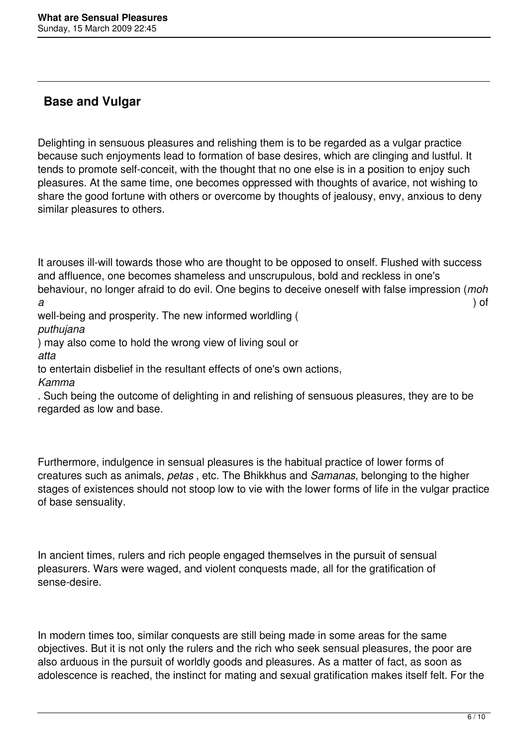# **Base and Vulgar**

Delighting in sensuous pleasures and relishing them is to be regarded as a vulgar practice because such enjoyments lead to formation of base desires, which are clinging and lustful. It tends to promote self-conceit, with the thought that no one else is in a position to enjoy such pleasures. At the same time, one becomes oppressed with thoughts of avarice, not wishing to share the good fortune with others or overcome by thoughts of jealousy, envy, anxious to deny similar pleasures to others.

It arouses ill-will towards those who are thought to be opposed to onself. Flushed with success and affluence, one becomes shameless and unscrupulous, bold and reckless in one's behaviour, no longer afraid to do evil. One begins to deceive oneself with false impression (*moh a* ) of well-being and prosperity. The new informed worldling ( *puthujana*

) may also come to hold the wrong view of living soul or *atta*

to entertain disbelief in the resultant effects of one's own actions,

*Kamma* 

. Such being the outcome of delighting in and relishing of sensuous pleasures, they are to be regarded as low and base.

Furthermore, indulgence in sensual pleasures is the habitual practice of lower forms of creatures such as animals, *petas* , etc. The Bhikkhus and *Samanas*, belonging to the higher stages of existences should not stoop low to vie with the lower forms of life in the vulgar practice of base sensuality.

In ancient times, rulers and rich people engaged themselves in the pursuit of sensual pleasurers. Wars were waged, and violent conquests made, all for the gratification of sense-desire.

In modern times too, similar conquests are still being made in some areas for the same objectives. But it is not only the rulers and the rich who seek sensual pleasures, the poor are also arduous in the pursuit of worldly goods and pleasures. As a matter of fact, as soon as adolescence is reached, the instinct for mating and sexual gratification makes itself felt. For the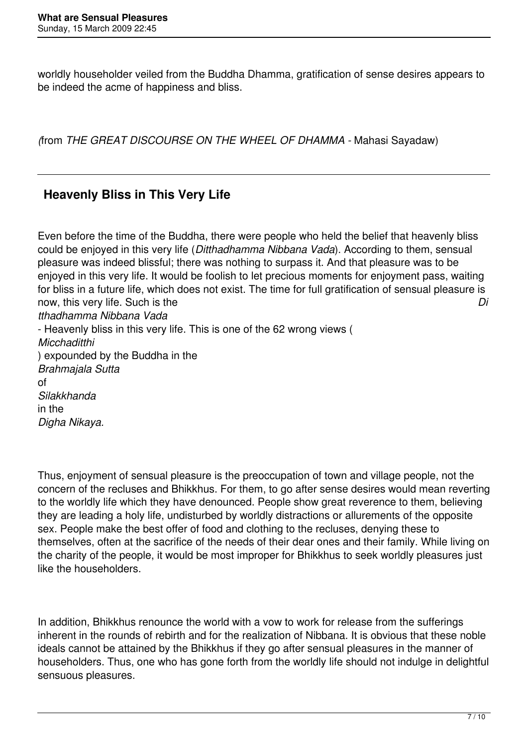worldly householder veiled from the Buddha Dhamma, gratification of sense desires appears to be indeed the acme of happiness and bliss.

*(*from *THE GREAT DISCOURSE ON THE WHEEL OF DHAMMA -* Mahasi Sayadaw)

# **Heavenly Bliss in This Very Life**

Even before the time of the Buddha, there were people who held the belief that heavenly bliss could be enjoyed in this very life (*Ditthadhamma Nibbana Vada*). According to them, sensual pleasure was indeed blissful; there was nothing to surpass it. And that pleasure was to be enjoyed in this very life. It would be foolish to let precious moments for enjoyment pass, waiting for bliss in a future life, which does not exist. The time for full gratification of sensual pleasure is now, this very life. Such is the **Di** *tthadhamma Nibbana Vada*  - Heavenly bliss in this very life. This is one of the 62 wrong views ( *Micchaditthi* ) expounded by the Buddha in the *Brahmajala Sutta*  of *Silakkhanda*  in the *Digha Nikaya.* 

Thus, enjoyment of sensual pleasure is the preoccupation of town and village people, not the concern of the recluses and Bhikkhus. For them, to go after sense desires would mean reverting to the worldly life which they have denounced. People show great reverence to them, believing they are leading a holy life, undisturbed by worldly distractions or allurements of the opposite sex. People make the best offer of food and clothing to the recluses, denying these to themselves, often at the sacrifice of the needs of their dear ones and their family. While living on the charity of the people, it would be most improper for Bhikkhus to seek worldly pleasures just like the householders.

In addition, Bhikkhus renounce the world with a vow to work for release from the sufferings inherent in the rounds of rebirth and for the realization of Nibbana. It is obvious that these noble ideals cannot be attained by the Bhikkhus if they go after sensual pleasures in the manner of householders. Thus, one who has gone forth from the worldly life should not indulge in delightful sensuous pleasures.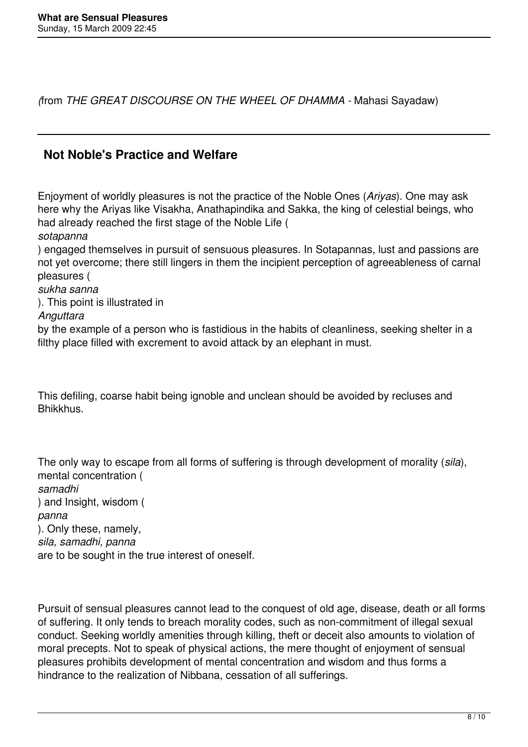*(*from *THE GREAT DISCOURSE ON THE WHEEL OF DHAMMA -* Mahasi Sayadaw)

## **Not Noble's Practice and Welfare**

Enjoyment of worldly pleasures is not the practice of the Noble Ones (*Ariyas*). One may ask here why the Ariyas like Visakha, Anathapindika and Sakka, the king of celestial beings, who had already reached the first stage of the Noble Life (

*sotapanna*

) engaged themselves in pursuit of sensuous pleasures. In Sotapannas, lust and passions are not yet overcome; there still lingers in them the incipient perception of agreeableness of carnal pleasures (

*sukha sanna*

). This point is illustrated in

*Anguttara* 

by the example of a person who is fastidious in the habits of cleanliness, seeking shelter in a filthy place filled with excrement to avoid attack by an elephant in must.

This defiling, coarse habit being ignoble and unclean should be avoided by recluses and Bhikkhus.

The only way to escape from all forms of suffering is through development of morality (*sila*), mental concentration ( *samadhi* ) and Insight, wisdom ( *panna* ). Only these, namely, *sila, samadhi, panna*  are to be sought in the true interest of oneself.

Pursuit of sensual pleasures cannot lead to the conquest of old age, disease, death or all forms of suffering. It only tends to breach morality codes, such as non-commitment of illegal sexual conduct. Seeking worldly amenities through killing, theft or deceit also amounts to violation of moral precepts. Not to speak of physical actions, the mere thought of enjoyment of sensual pleasures prohibits development of mental concentration and wisdom and thus forms a hindrance to the realization of Nibbana, cessation of all sufferings.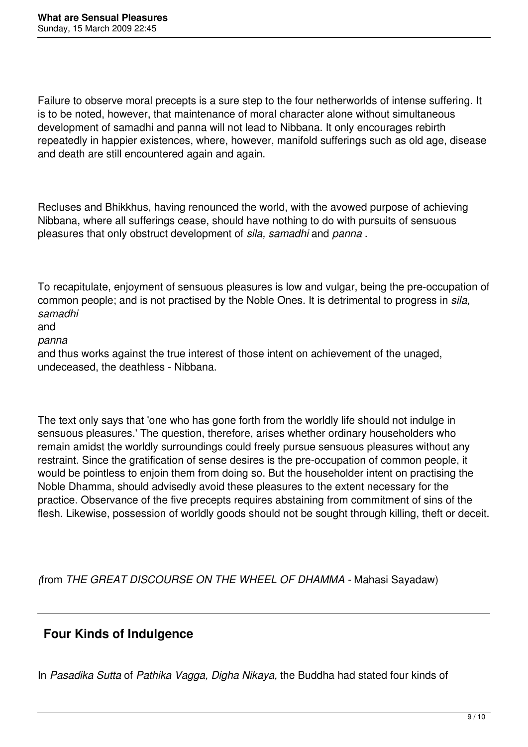Failure to observe moral precepts is a sure step to the four netherworlds of intense suffering. It is to be noted, however, that maintenance of moral character alone without simultaneous development of samadhi and panna will not lead to Nibbana. It only encourages rebirth repeatedly in happier existences, where, however, manifold sufferings such as old age, disease and death are still encountered again and again.

Recluses and Bhikkhus, having renounced the world, with the avowed purpose of achieving Nibbana, where all sufferings cease, should have nothing to do with pursuits of sensuous pleasures that only obstruct development of *sila, samadhi* and *panna* .

To recapitulate, enjoyment of sensuous pleasures is low and vulgar, being the pre-occupation of common people; and is not practised by the Noble Ones. It is detrimental to progress in *sila, samadhi* 

#### and

#### *panna*

and thus works against the true interest of those intent on achievement of the unaged, undeceased, the deathless - Nibbana.

The text only says that 'one who has gone forth from the worldly life should not indulge in sensuous pleasures.' The question, therefore, arises whether ordinary householders who remain amidst the worldly surroundings could freely pursue sensuous pleasures without any restraint. Since the gratification of sense desires is the pre-occupation of common people, it would be pointless to enjoin them from doing so. But the householder intent on practising the Noble Dhamma, should advisedly avoid these pleasures to the extent necessary for the practice. Observance of the five precepts requires abstaining from commitment of sins of the flesh. Likewise, possession of worldly goods should not be sought through killing, theft or deceit.

*(*from *THE GREAT DISCOURSE ON THE WHEEL OF DHAMMA -* Mahasi Sayadaw)

# **Four Kinds of Indulgence**

In *Pasadika Sutta* of *Pathika Vagga, Digha Nikaya,* the Buddha had stated four kinds of